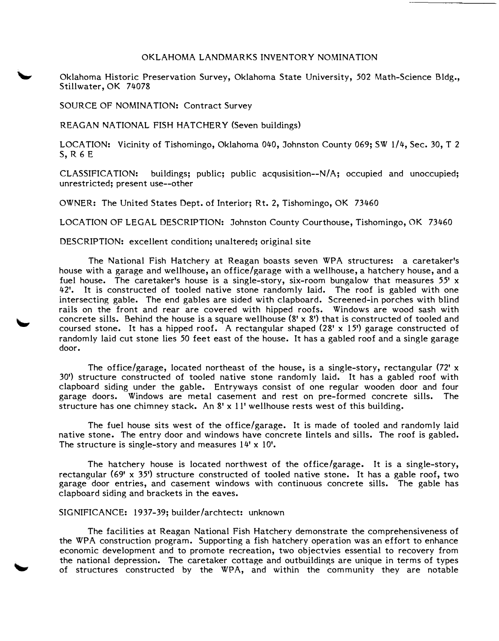## OKLAHOMA LANDMARKS INVENTORY NOMINATION

Oklahoma Historic Preservation Survey, Oklahoma State University, *502* Math-Science Bldg., Stillwater, OK 74078

SOURCE OF NOMINATION: Contract Survey

REAGAN NATIONAL FISH HATCHERY (Seven buildings)

LOCATION: Vicinity of Tishomingo, Oklahoma 040, Johnston County 069: SW 1/4, Sec. 30, T 2 S, R 6 E

CLASSIFICATION: buildings; public; public acqusisition--N/ A; occupied and unoccupied; unrestricted; present use--other

OWNER: The United States Dept. of Interior; Rt. 2, Tishomingo, OK 73460

LOCATION OF LEGAL DESCRIPTION: Johnston County Courthouse, Tishomingo, OK 73460

DESCRIPTION: excellent condition; unaltered; original site

The National Fish Hatchery at Reagan boasts seven WPA structures: a caretaker's house with a garage and wellhouse, an office/garage with a wellhouse, a hatchery house, and a fuel house. The caretaker's house is a single-story, six-room bungalow that measures *55'* x 42'. It is constructed of tooled native stone randomly laid. The roof is gabled with one intersecting gable. The end gables are sided with clapboard. Screened-in porches with blind rails on the front and rear are covered with hipped roofs. Windows are wood sash with concrete sills. Behind the house is a square wellhouse (8' x 8') that is constructed of tooled and coursed stone. It has a hipped roof. A rectangular shaped  $(28' \times 15')$  garage constructed of randomly laid cut stone lies *50* feet east of the house. It has a gabled roof and a single garage door.

The office/garage, located northeast of the house, is a single-story, rectangular  $(72' x$ 30') structure constructed of tooled native stone randomly laid. It has a gabled roof with clapboard siding under the gable. Entryways consist of one regular wooden door and four garage doors. Windows are metal casement and rest on pre-formed concrete sills. The structure has one chimney stack. An 8' x 11' wellhouse rests west of this building.

The fuel house sits west of the office/garage. It is made of tooled and randomly laid native stone. The entry door and windows have concrete lintels and sills. The roof is gabled. The structure is single-story and measures 14' x 10'.

The hatchery house is located northwest of the office/garage. It is a single-story, rectangular (69' x *35')* structure constructed of tooled native stone. It has a gable roof, two garage door entries, and casement windows with continuous concrete sills. The gable has clapboard siding and brackets in the eaves.

## SIGNIFICANCE: 1937-39; builder/archtect: unknown

The facilities at Reagan National Fish Hatchery demonstrate the comprehensiveness of the WPA construction program. Supporting a fish hatchery operation was an effort to enhance economic development and to promote recreation, two objectvies essential to recovery from the national depression. The caretaker cottage and outbuildings are unique in terms of types of structures constructed by the WPA, and within the community they are notable